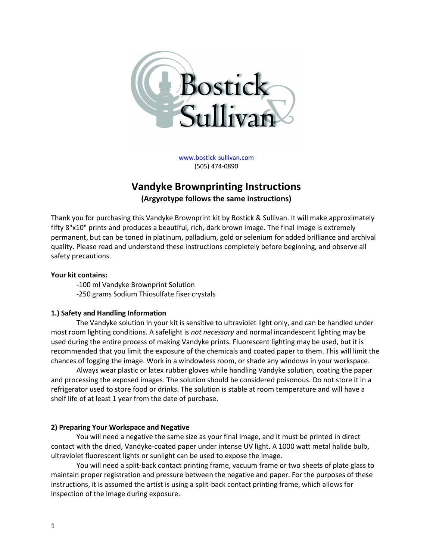

www.bostick-sullivan.com (505) 474-0890

# Vandyke Brownprinting Instructions (Argyrotype follows the same instructions)

Thank you for purchasing this Vandyke Brownprint kit by Bostick & Sullivan. It will make approximately fifty 8"x10" prints and produces a beautiful, rich, dark brown image. The final image is extremely permanent, but can be toned in platinum, palladium, gold or selenium for added brilliance and archival quality. Please read and understand these instructions completely before beginning, and observe all safety precautions.

# Your kit contains:

-100 ml Vandyke Brownprint Solution -250 grams Sodium Thiosulfate fixer crystals

# 1.) Safety and Handling Information

The Vandyke solution in your kit is sensitive to ultraviolet light only, and can be handled under most room lighting conditions. A safelight is not necessary and normal incandescent lighting may be used during the entire process of making Vandyke prints. Fluorescent lighting may be used, but it is recommended that you limit the exposure of the chemicals and coated paper to them. This will limit the chances of fogging the image. Work in a windowless room, or shade any windows in your workspace.

Always wear plastic or latex rubber gloves while handling Vandyke solution, coating the paper and processing the exposed images. The solution should be considered poisonous. Do not store it in a refrigerator used to store food or drinks. The solution is stable at room temperature and will have a shelf life of at least 1 year from the date of purchase.

# 2) Preparing Your Workspace and Negative

You will need a negative the same size as your final image, and it must be printed in direct contact with the dried, Vandyke-coated paper under intense UV light. A 1000 watt metal halide bulb, ultraviolet fluorescent lights or sunlight can be used to expose the image.

You will need a split-back contact printing frame, vacuum frame or two sheets of plate glass to maintain proper registration and pressure between the negative and paper. For the purposes of these instructions, it is assumed the artist is using a split-back contact printing frame, which allows for inspection of the image during exposure.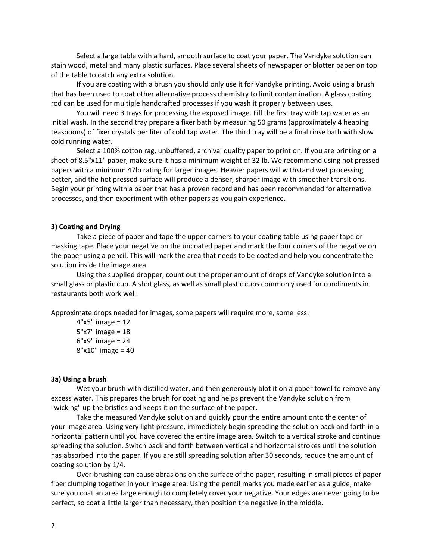Select a large table with a hard, smooth surface to coat your paper. The Vandyke solution can stain wood, metal and many plastic surfaces. Place several sheets of newspaper or blotter paper on top of the table to catch any extra solution.

If you are coating with a brush you should only use it for Vandyke printing. Avoid using a brush that has been used to coat other alternative process chemistry to limit contamination. A glass coating rod can be used for multiple handcrafted processes if you wash it properly between uses.

You will need 3 trays for processing the exposed image. Fill the first tray with tap water as an initial wash. In the second tray prepare a fixer bath by measuring 50 grams (approximately 4 heaping teaspoons) of fixer crystals per liter of cold tap water. The third tray will be a final rinse bath with slow cold running water.

Select a 100% cotton rag, unbuffered, archival quality paper to print on. If you are printing on a sheet of 8.5"x11" paper, make sure it has a minimum weight of 32 lb. We recommend using hot pressed papers with a minimum 47lb rating for larger images. Heavier papers will withstand wet processing better, and the hot pressed surface will produce a denser, sharper image with smoother transitions. Begin your printing with a paper that has a proven record and has been recommended for alternative processes, and then experiment with other papers as you gain experience.

#### 3) Coating and Drying

Take a piece of paper and tape the upper corners to your coating table using paper tape or masking tape. Place your negative on the uncoated paper and mark the four corners of the negative on the paper using a pencil. This will mark the area that needs to be coated and help you concentrate the solution inside the image area.

Using the supplied dropper, count out the proper amount of drops of Vandyke solution into a small glass or plastic cup. A shot glass, as well as small plastic cups commonly used for condiments in restaurants both work well.

Approximate drops needed for images, some papers will require more, some less:

4"x5" image = 12 5"x7" image = 18 6"x9" image = 24 8"x10" image = 40

#### 3a) Using a brush

Wet your brush with distilled water, and then generously blot it on a paper towel to remove any excess water. This prepares the brush for coating and helps prevent the Vandyke solution from "wicking" up the bristles and keeps it on the surface of the paper.

Take the measured Vandyke solution and quickly pour the entire amount onto the center of your image area. Using very light pressure, immediately begin spreading the solution back and forth in a horizontal pattern until you have covered the entire image area. Switch to a vertical stroke and continue spreading the solution. Switch back and forth between vertical and horizontal strokes until the solution has absorbed into the paper. If you are still spreading solution after 30 seconds, reduce the amount of coating solution by 1/4.

Over-brushing can cause abrasions on the surface of the paper, resulting in small pieces of paper fiber clumping together in your image area. Using the pencil marks you made earlier as a guide, make sure you coat an area large enough to completely cover your negative. Your edges are never going to be perfect, so coat a little larger than necessary, then position the negative in the middle.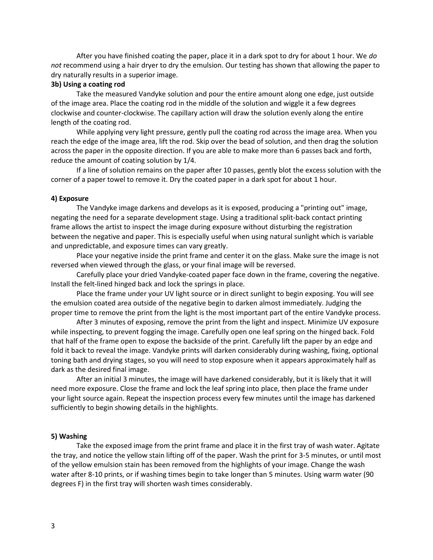After you have finished coating the paper, place it in a dark spot to dry for about 1 hour. We do not recommend using a hair dryer to dry the emulsion. Our testing has shown that allowing the paper to dry naturally results in a superior image.

#### 3b) Using a coating rod

Take the measured Vandyke solution and pour the entire amount along one edge, just outside of the image area. Place the coating rod in the middle of the solution and wiggle it a few degrees clockwise and counter-clockwise. The capillary action will draw the solution evenly along the entire length of the coating rod.

While applying very light pressure, gently pull the coating rod across the image area. When you reach the edge of the image area, lift the rod. Skip over the bead of solution, and then drag the solution across the paper in the opposite direction. If you are able to make more than 6 passes back and forth, reduce the amount of coating solution by 1/4.

If a line of solution remains on the paper after 10 passes, gently blot the excess solution with the corner of a paper towel to remove it. Dry the coated paper in a dark spot for about 1 hour.

## 4) Exposure

The Vandyke image darkens and develops as it is exposed, producing a "printing out" image, negating the need for a separate development stage. Using a traditional split-back contact printing frame allows the artist to inspect the image during exposure without disturbing the registration between the negative and paper. This is especially useful when using natural sunlight which is variable and unpredictable, and exposure times can vary greatly.

Place your negative inside the print frame and center it on the glass. Make sure the image is not reversed when viewed through the glass, or your final image will be reversed.

Carefully place your dried Vandyke-coated paper face down in the frame, covering the negative. Install the felt-lined hinged back and lock the springs in place.

Place the frame under your UV light source or in direct sunlight to begin exposing. You will see the emulsion coated area outside of the negative begin to darken almost immediately. Judging the proper time to remove the print from the light is the most important part of the entire Vandyke process.

After 3 minutes of exposing, remove the print from the light and inspect. Minimize UV exposure while inspecting, to prevent fogging the image. Carefully open one leaf spring on the hinged back. Fold that half of the frame open to expose the backside of the print. Carefully lift the paper by an edge and fold it back to reveal the image. Vandyke prints will darken considerably during washing, fixing, optional toning bath and drying stages, so you will need to stop exposure when it appears approximately half as dark as the desired final image.

After an initial 3 minutes, the image will have darkened considerably, but it is likely that it will need more exposure. Close the frame and lock the leaf spring into place, then place the frame under your light source again. Repeat the inspection process every few minutes until the image has darkened sufficiently to begin showing details in the highlights.

## 5) Washing

Take the exposed image from the print frame and place it in the first tray of wash water. Agitate the tray, and notice the yellow stain lifting off of the paper. Wash the print for 3-5 minutes, or until most of the yellow emulsion stain has been removed from the highlights of your image. Change the wash water after 8-10 prints, or if washing times begin to take longer than 5 minutes. Using warm water (90 degrees F) in the first tray will shorten wash times considerably.